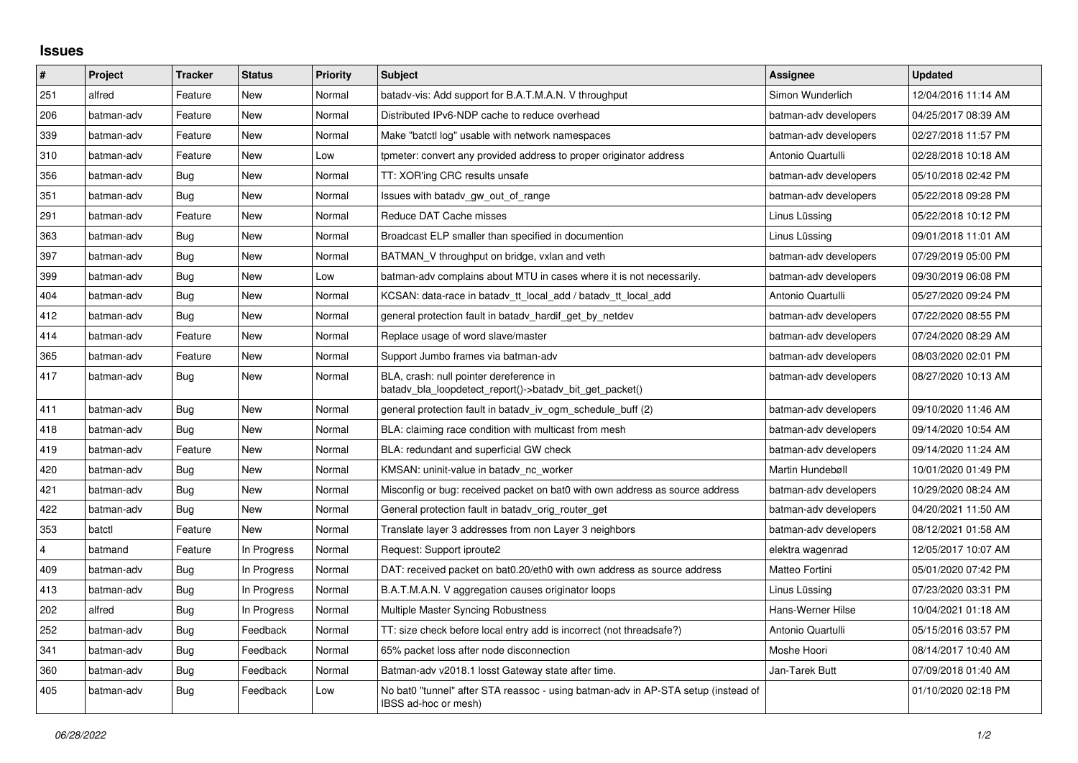## **Issues**

| $\vert$ # | Project    | <b>Tracker</b> | <b>Status</b> | <b>Priority</b> | <b>Subject</b>                                                                                            | <b>Assignee</b>       | <b>Updated</b>      |
|-----------|------------|----------------|---------------|-----------------|-----------------------------------------------------------------------------------------------------------|-----------------------|---------------------|
| 251       | alfred     | Feature        | New           | Normal          | batady-vis: Add support for B.A.T.M.A.N. V throughput                                                     | Simon Wunderlich      | 12/04/2016 11:14 AM |
| 206       | batman-adv | Feature        | <b>New</b>    | Normal          | Distributed IPv6-NDP cache to reduce overhead                                                             | batman-adv developers | 04/25/2017 08:39 AM |
| 339       | batman-adv | Feature        | New           | Normal          | Make "batctl log" usable with network namespaces                                                          | batman-adv developers | 02/27/2018 11:57 PM |
| 310       | batman-adv | Feature        | <b>New</b>    | Low             | tpmeter: convert any provided address to proper originator address                                        | Antonio Quartulli     | 02/28/2018 10:18 AM |
| 356       | batman-adv | Bug            | New           | Normal          | TT: XOR'ing CRC results unsafe                                                                            | batman-adv developers | 05/10/2018 02:42 PM |
| 351       | batman-adv | <b>Bug</b>     | New           | Normal          | Issues with batady_gw_out_of_range                                                                        | batman-adv developers | 05/22/2018 09:28 PM |
| 291       | batman-adv | Feature        | New           | Normal          | Reduce DAT Cache misses                                                                                   | Linus Lüssing         | 05/22/2018 10:12 PM |
| 363       | batman-adv | Bug            | New           | Normal          | Broadcast ELP smaller than specified in documention                                                       | Linus Lüssing         | 09/01/2018 11:01 AM |
| 397       | batman-adv | Bug            | New           | Normal          | BATMAN V throughput on bridge, vxlan and veth                                                             | batman-adv developers | 07/29/2019 05:00 PM |
| 399       | batman-adv | Bug            | New           | Low             | batman-adv complains about MTU in cases where it is not necessarily.                                      | batman-adv developers | 09/30/2019 06:08 PM |
| 404       | batman-adv | Bug            | <b>New</b>    | Normal          | KCSAN: data-race in batady tt local add / batady tt local add                                             | Antonio Quartulli     | 05/27/2020 09:24 PM |
| 412       | batman-adv | Bug            | New           | Normal          | general protection fault in batady_hardif_get_by_netdev                                                   | batman-adv developers | 07/22/2020 08:55 PM |
| 414       | batman-adv | Feature        | New           | Normal          | Replace usage of word slave/master                                                                        | batman-adv developers | 07/24/2020 08:29 AM |
| 365       | batman-adv | Feature        | New           | Normal          | Support Jumbo frames via batman-adv                                                                       | batman-adv developers | 08/03/2020 02:01 PM |
| 417       | batman-adv | Bug            | New           | Normal          | BLA, crash: null pointer dereference in<br>batady bla loopdetect report()->batady bit get packet()        | batman-adv developers | 08/27/2020 10:13 AM |
| 411       | batman-adv | Bug            | New           | Normal          | general protection fault in batady iv ogm schedule buff (2)                                               | batman-adv developers | 09/10/2020 11:46 AM |
| 418       | batman-adv | Bug            | New           | Normal          | BLA: claiming race condition with multicast from mesh                                                     | batman-adv developers | 09/14/2020 10:54 AM |
| 419       | batman-adv | Feature        | New           | Normal          | BLA: redundant and superficial GW check                                                                   | batman-adv developers | 09/14/2020 11:24 AM |
| 420       | batman-adv | Bug            | New           | Normal          | KMSAN: uninit-value in batady_nc_worker                                                                   | Martin Hundebøll      | 10/01/2020 01:49 PM |
| 421       | batman-adv | <b>Bug</b>     | New           | Normal          | Misconfig or bug: received packet on bat0 with own address as source address                              | batman-adv developers | 10/29/2020 08:24 AM |
| 422       | batman-adv | Bug            | New           | Normal          | General protection fault in batady orig router get                                                        | batman-adv developers | 04/20/2021 11:50 AM |
| 353       | batctl     | Feature        | <b>New</b>    | Normal          | Translate layer 3 addresses from non Layer 3 neighbors                                                    | batman-adv developers | 08/12/2021 01:58 AM |
| 4         | batmand    | Feature        | In Progress   | Normal          | Request: Support iproute2                                                                                 | elektra wagenrad      | 12/05/2017 10:07 AM |
| 409       | batman-adv | Bug            | In Progress   | Normal          | DAT: received packet on bat0.20/eth0 with own address as source address                                   | Matteo Fortini        | 05/01/2020 07:42 PM |
| 413       | batman-adv | Bug            | In Progress   | Normal          | B.A.T.M.A.N. V aggregation causes originator loops                                                        | Linus Lüssing         | 07/23/2020 03:31 PM |
| 202       | alfred     | Bug            | In Progress   | Normal          | Multiple Master Syncing Robustness                                                                        | Hans-Werner Hilse     | 10/04/2021 01:18 AM |
| 252       | batman-adv | <b>Bug</b>     | Feedback      | Normal          | TT: size check before local entry add is incorrect (not threadsafe?)                                      | Antonio Quartulli     | 05/15/2016 03:57 PM |
| 341       | batman-adv | Bug            | Feedback      | Normal          | 65% packet loss after node disconnection                                                                  | Moshe Hoori           | 08/14/2017 10:40 AM |
| 360       | batman-adv | Bug            | Feedback      | Normal          | Batman-adv v2018.1 losst Gateway state after time.                                                        | Jan-Tarek Butt        | 07/09/2018 01:40 AM |
| 405       | batman-adv | Bug            | Feedback      | Low             | No bat0 "tunnel" after STA reassoc - using batman-adv in AP-STA setup (instead of<br>IBSS ad-hoc or mesh) |                       | 01/10/2020 02:18 PM |